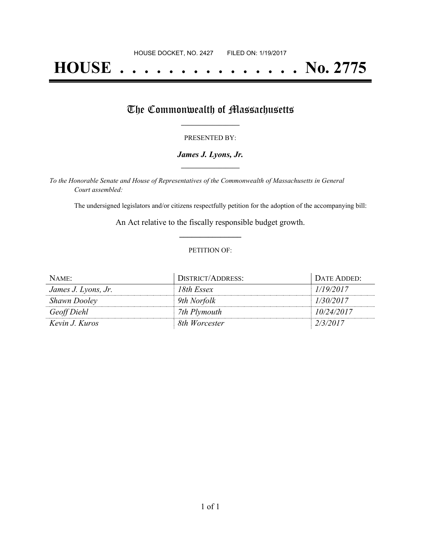# **HOUSE . . . . . . . . . . . . . . . No. 2775**

# The Commonwealth of Massachusetts

#### PRESENTED BY:

## *James J. Lyons, Jr.* **\_\_\_\_\_\_\_\_\_\_\_\_\_\_\_\_\_**

*To the Honorable Senate and House of Representatives of the Commonwealth of Massachusetts in General Court assembled:*

The undersigned legislators and/or citizens respectfully petition for the adoption of the accompanying bill:

An Act relative to the fiscally responsible budget growth. **\_\_\_\_\_\_\_\_\_\_\_\_\_\_\_**

### PETITION OF:

| NAME:               | DISTRICT/ADDRESS: | DATE ADDED: |
|---------------------|-------------------|-------------|
| James J. Lyons, Jr. | 18th Essex        | 1/19/2017   |
| <b>Shawn Dooley</b> | 9th Norfolk       | 1/30/2017   |
| Geoff Diehl         | 7th Plymouth      | 10/24/2017  |
| Kevin J. Kuros      | 8th Worcester     | 2/3/2017    |